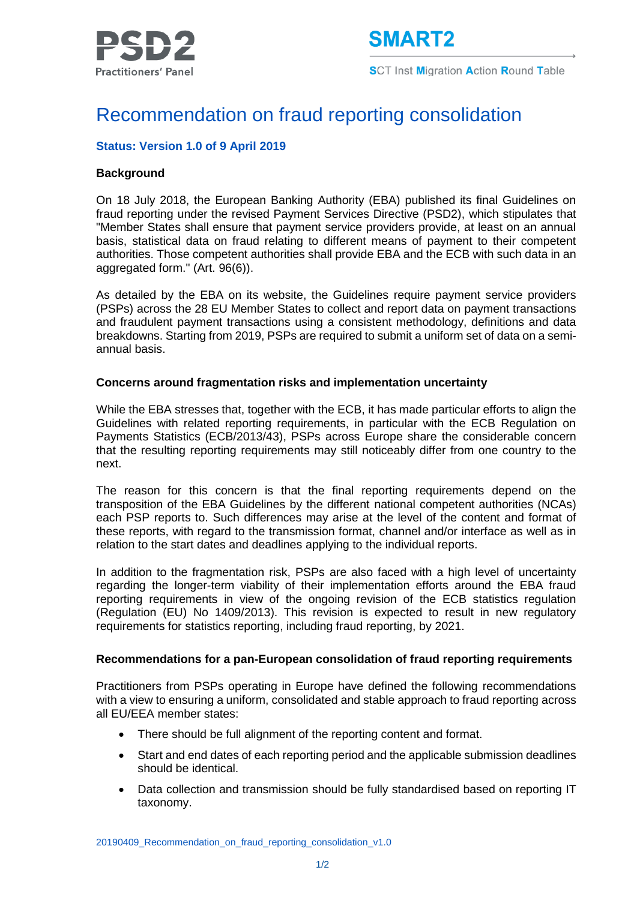

**SCT Inst Migration Action Round Table** 

# Recommendation on fraud reporting consolidation

## **Status: Version 1.0 of 9 April 2019**

### **Background**

On 18 July 2018, the European Banking Authority (EBA) published its final Guidelines on fraud reporting under the revised Payment Services Directive (PSD2), which stipulates that "Member States shall ensure that payment service providers provide, at least on an annual basis, statistical data on fraud relating to different means of payment to their competent authorities. Those competent authorities shall provide EBA and the ECB with such data in an aggregated form." (Art. 96(6)).

As detailed by the EBA on its website, the Guidelines require payment service providers (PSPs) across the 28 EU Member States to collect and report data on payment transactions and fraudulent payment transactions using a consistent methodology, definitions and data breakdowns. Starting from 2019, PSPs are required to submit a uniform set of data on a semiannual basis.

#### **Concerns around fragmentation risks and implementation uncertainty**

While the EBA stresses that, together with the ECB, it has made particular efforts to align the Guidelines with related reporting requirements, in particular with the ECB Regulation on Payments Statistics (ECB/2013/43), PSPs across Europe share the considerable concern that the resulting reporting requirements may still noticeably differ from one country to the next.

The reason for this concern is that the final reporting requirements depend on the transposition of the EBA Guidelines by the different national competent authorities (NCAs) each PSP reports to. Such differences may arise at the level of the content and format of these reports, with regard to the transmission format, channel and/or interface as well as in relation to the start dates and deadlines applying to the individual reports.

In addition to the fragmentation risk, PSPs are also faced with a high level of uncertainty regarding the longer-term viability of their implementation efforts around the EBA fraud reporting requirements in view of the ongoing revision of the ECB statistics regulation (Regulation (EU) No 1409/2013). This revision is expected to result in new regulatory requirements for statistics reporting, including fraud reporting, by 2021.

#### **Recommendations for a pan-European consolidation of fraud reporting requirements**

Practitioners from PSPs operating in Europe have defined the following recommendations with a view to ensuring a uniform, consolidated and stable approach to fraud reporting across all EU/EEA member states:

- There should be full alignment of the reporting content and format.
- Start and end dates of each reporting period and the applicable submission deadlines should be identical.
- Data collection and transmission should be fully standardised based on reporting IT taxonomy.